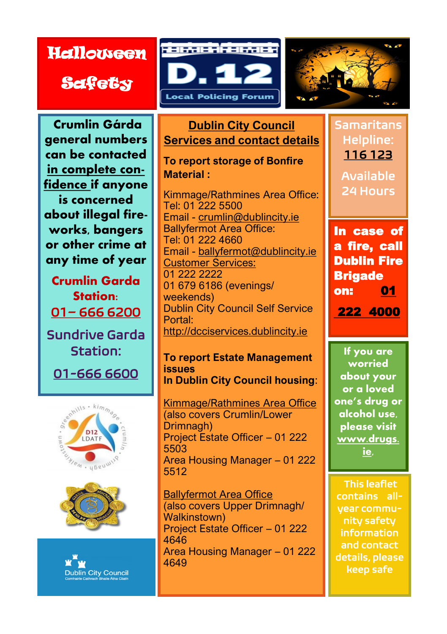## **Halloween**

**Safety** 



**Crumlin Gárda general numbers can be contacted in complete confidence if anyone is concerned about illegal fireworks, bangers or other crime at any time of year**

**Crumlin Garda Station:**  01– 666 6200

Sundrive Garda Station:

01-666 6600







**Dublin City Council Services and contact details**

**To report storage of Bonfire Material :**

Kimmage/Rathmines Area Office: [Tel: 01 222 5](Tel:222)500 Email - [crumlin@dublincity.ie](mailto:crumlin@dublincity.ie) Ballyfermot Area Office: Tel: 01 222 4660 Email - [ballyfermot@dublincity.ie](mailto:ballyfermot@dublincity.ie) Customer Services: 01 222 2222 01 679 6186 (evenings/ weekends) Dublin City Council Self Service Portal: <http://dcciservices.dublincity.ie>

**To report Estate Management issues In Dublin City Council housing**:

Kimmage/Rathmines Area Office (also covers Crumlin/Lower Drimnagh) Project Estate Officer – 01 222 5503 Area Housing Manager – 01 222 5512

**Ballyfermot Area Office** (also covers Upper Drimnagh/ Walkinstown) Project Estate Officer – 01 222 4646 Area Housing Manager – 01 222 4649

Helpline: 116 123 Available 24 Hours

Samaritans

In case of a fire, call Dublin Fire **Brigade** on: 01 222 4000

**If you are worried about your or a loved one's drug or alcohol use, please visit www.drugs. ie,** 

 This leaflet contains allyear community safety information and contact details, please keep safe